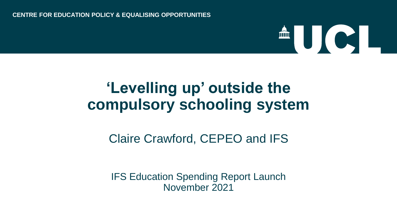## LICI.

### **'Levelling up' outside the compulsory schooling system**

#### Claire Crawford, CEPEO and IFS

IFS Education Spending Report Launch November 2021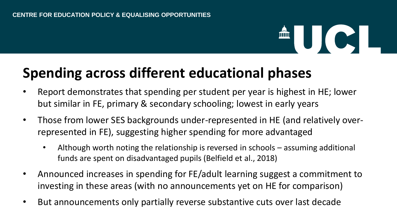# **AUCI**

#### **Spending across different educational phases**

- Report demonstrates that spending per student per year is highest in HE; lower but similar in FE, primary & secondary schooling; lowest in early years
- Those from lower SES backgrounds under-represented in HE (and relatively overrepresented in FE), suggesting higher spending for more advantaged
	- Although worth noting the relationship is reversed in schools assuming additional funds are spent on disadvantaged pupils (Belfield et al., 2018)
- Announced increases in spending for FE/adult learning suggest a commitment to investing in these areas (with no announcements yet on HE for comparison)
- But announcements only partially reverse substantive cuts over last decade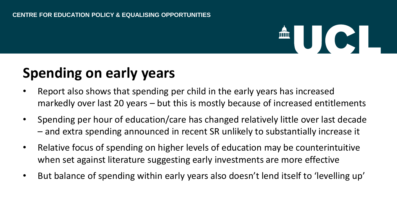### **AUCI**

### **Spending on early years**

- Report also shows that spending per child in the early years has increased markedly over last 20 years – but this is mostly because of increased entitlements
- Spending per hour of education/care has changed relatively little over last decade – and extra spending announced in recent SR unlikely to substantially increase it
- Relative focus of spending on higher levels of education may be counterintuitive when set against literature suggesting early investments are more effective
- But balance of spending within early years also doesn't lend itself to 'levelling up'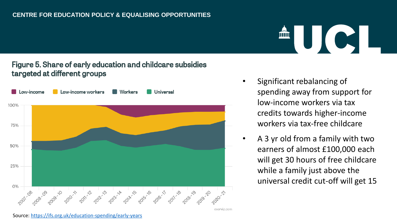#### Figure 5. Share of early education and childcare subsidies targeted at different groups



• Significant rebalancing of spending away from support for low-income workers via tax credits towards higher-income workers via tax-free childcare

AUCI

• A 3 yr old from a family with two earners of almost £100,000 each will get 30 hours of free childcare while a family just above the universal credit cut-off will get 15

Source: <https://ifs.org.uk/education-spending/early-years>